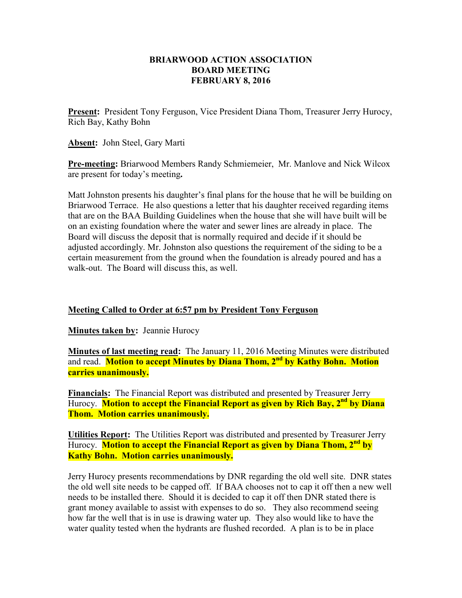## **BRIARWOOD ACTION ASSOCIATION BOARD MEETING FEBRUARY 8, 2016**

**Present:** President Tony Ferguson, Vice President Diana Thom, Treasurer Jerry Hurocy, Rich Bay, Kathy Bohn

**Absent:** John Steel, Gary Marti

**Pre-meeting:** Briarwood Members Randy Schmiemeier, Mr. Manlove and Nick Wilcox are present for today's meeting**.**

Matt Johnston presents his daughter's final plans for the house that he will be building on Briarwood Terrace. He also questions a letter that his daughter received regarding items that are on the BAA Building Guidelines when the house that she will have built will be on an existing foundation where the water and sewer lines are already in place. The Board will discuss the deposit that is normally required and decide if it should be adjusted accordingly. Mr. Johnston also questions the requirement of the siding to be a certain measurement from the ground when the foundation is already poured and has a walk-out. The Board will discuss this, as well.

## **Meeting Called to Order at 6:57 pm by President Tony Ferguson**

**Minutes taken by: Jeannie Hurocy** 

**Minutes of last meeting read:** The January 11, 2016 Meeting Minutes were distributed and read. **Motion to accept Minutes by Diana Thom, 2nd by Kathy Bohn. Motion carries unanimously.** 

**Financials:** The Financial Report was distributed and presented by Treasurer Jerry Hurocy. **Motion to accept the Financial Report as given by Rich Bay, 2nd by Diana Thom. Motion carries unanimously.** 

**Utilities Report:** The Utilities Report was distributed and presented by Treasurer Jerry Hurocy. **Motion to accept the Financial Report as given by Diana Thom, 2nd by Kathy Bohn. Motion carries unanimously.** 

Jerry Hurocy presents recommendations by DNR regarding the old well site. DNR states the old well site needs to be capped off. If BAA chooses not to cap it off then a new well needs to be installed there. Should it is decided to cap it off then DNR stated there is grant money available to assist with expenses to do so. They also recommend seeing how far the well that is in use is drawing water up. They also would like to have the water quality tested when the hydrants are flushed recorded. A plan is to be in place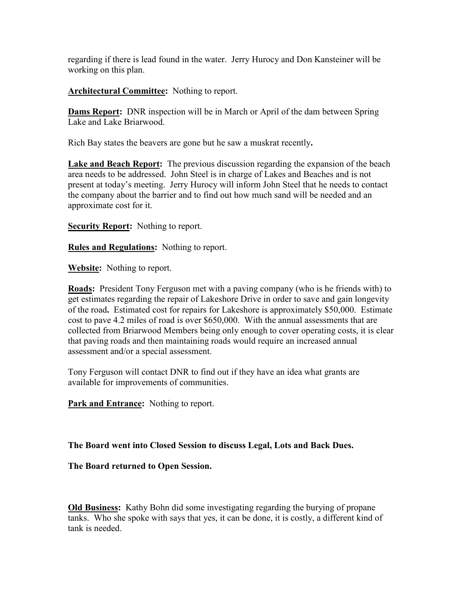regarding if there is lead found in the water. Jerry Hurocy and Don Kansteiner will be working on this plan.

**Architectural Committee:** Nothing to report.

**Dams Report:** DNR inspection will be in March or April of the dam between Spring Lake and Lake Briarwood.

Rich Bay states the beavers are gone but he saw a muskrat recently**.** 

**Lake and Beach Report:** The previous discussion regarding the expansion of the beach area needs to be addressed. John Steel is in charge of Lakes and Beaches and is not present at today's meeting. Jerry Hurocy will inform John Steel that he needs to contact the company about the barrier and to find out how much sand will be needed and an approximate cost for it.

**Security Report:** Nothing to report.

**Rules and Regulations:** Nothing to report.

**Website:** Nothing to report.

**Roads:** President Tony Ferguson met with a paving company (who is he friends with) to get estimates regarding the repair of Lakeshore Drive in order to save and gain longevity of the road**.** Estimated cost for repairs for Lakeshore is approximately \$50,000. Estimate cost to pave 4.2 miles of road is over \$650,000. With the annual assessments that are collected from Briarwood Members being only enough to cover operating costs, it is clear that paving roads and then maintaining roads would require an increased annual assessment and/or a special assessment.

Tony Ferguson will contact DNR to find out if they have an idea what grants are available for improvements of communities.

**Park and Entrance:** Nothing to report.

**The Board went into Closed Session to discuss Legal, Lots and Back Dues.** 

**The Board returned to Open Session.** 

**Old Business:** Kathy Bohn did some investigating regarding the burying of propane tanks. Who she spoke with says that yes, it can be done, it is costly, a different kind of tank is needed.